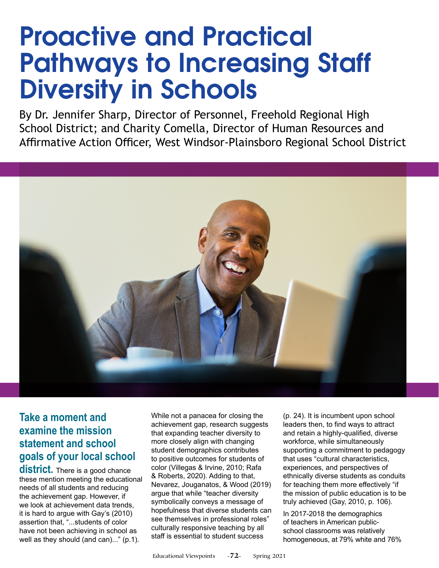# **Proactive and Practical Pathways to Increasing Staff Diversity in Schools**

By Dr. Jennifer Sharp, Director of Personnel, Freehold Regional High School District; and Charity Comella, Director of Human Resources and Affirmative Action Officer, West Windsor-Plainsboro Regional School District



# **Take a moment and examine the mission statement and school goals of your local school**

**district.** There is a good chance these mention meeting the educational needs of all students and reducing the achievement gap. However, if we look at achievement data trends, it is hard to argue with Gay's (2010) assertion that, "...students of color have not been achieving in school as well as they should (and can)..." (p.1).

While not a panacea for closing the achievement gap, research suggests that expanding teacher diversity to more closely align with changing student demographics contributes to positive outcomes for students of color (Villegas & Irvine, 2010; Rafa & Roberts, 2020). Adding to that, Nevarez, Jouganatos, & Wood (2019) argue that while "teacher diversity symbolically conveys a message of hopefulness that diverse students can see themselves in professional roles" culturally responsive teaching by all staff is essential to student success

(p. 24). It is incumbent upon school leaders then, to find ways to attract and retain a highly-qualified, diverse workforce, while simultaneously supporting a commitment to pedagogy that uses "cultural characteristics, experiences, and perspectives of ethnically diverse students as conduits for teaching them more effectively "if the mission of public education is to be truly achieved (Gay, 2010, p. 106).

In 2017-2018 the demographics of teachers in American publicschool classrooms was relatively homogeneous, at 79% white and 76%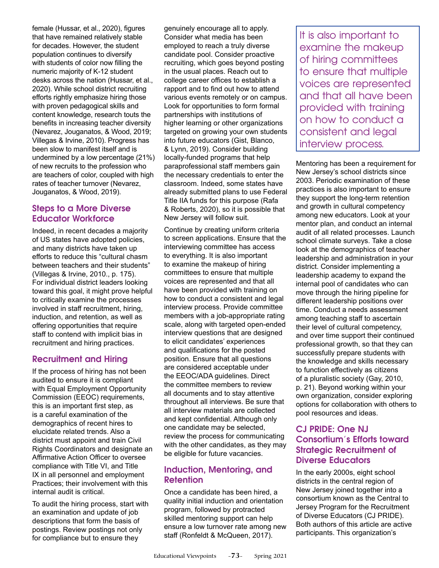female (Hussar, et al., 2020), figures that have remained relatively stable for decades. However, the student population continues to diversify with students of color now filling the numeric majority of K-12 student desks across the nation (Hussar, et al., 2020). While school district recruiting efforts rightly emphasize hiring those with proven pedagogical skills and content knowledge, research touts the benefits in increasing teacher diversity (Nevarez, Jouganatos, & Wood, 2019; Villegas & Irvine, 2010). Progress has been slow to manifest itself and is undermined by a low percentage (21%) of new recruits to the profession who are teachers of color, coupled with high rates of teacher turnover (Nevarez, Jouganatos, & Wood, 2019).

#### **Steps to a More Diverse Educator Workforce**

Indeed, in recent decades a majority of US states have adopted policies, and many districts have taken up efforts to reduce this "cultural chasm between teachers and their students" (Villegas & Irvine, 2010., p. 175). For individual district leaders looking toward this goal, it might prove helpful to critically examine the processes involved in staff recruitment, hiring, induction, and retention, as well as offering opportunities that require staff to contend with implicit bias in recruitment and hiring practices.

### **Recruitment and Hiring**

If the process of hiring has not been audited to ensure it is compliant with Equal Employment Opportunity Commission (EEOC) requirements, this is an important first step, as is a careful examination of the demographics of recent hires to elucidate related trends. Also a district must appoint and train Civil Rights Coordinators and designate an Affirmative Action Officer to oversee compliance with Title VI, and Title IX in all personnel and employment Practices; their involvement with this internal audit is critical.

To audit the hiring process, start with an examination and update of job descriptions that form the basis of postings. Review postings not only for compliance but to ensure they

genuinely encourage all to apply. Consider what media has been employed to reach a truly diverse candidate pool. Consider proactive recruiting, which goes beyond posting in the usual places. Reach out to college career offices to establish a rapport and to find out how to attend various events remotely or on campus. Look for opportunities to form formal partnerships with institutions of higher learning or other organizations targeted on growing your own students into future educators (Gist, Blanco, & Lynn, 2019). Consider building locally-funded programs that help paraprofessional staff members gain the necessary credentials to enter the classroom. Indeed, some states have already submitted plans to use Federal Title IIA funds for this purpose (Rafa & Roberts, 2020), so it is possible that New Jersey will follow suit.

Continue by creating uniform criteria to screen applications. Ensure that the interviewing committee has access to everything. It is also important to examine the makeup of hiring committees to ensure that multiple voices are represented and that all have been provided with training on how to conduct a consistent and legal interview process. Provide committee members with a job-appropriate rating scale, along with targeted open-ended interview questions that are designed to elicit candidates' experiences and qualifications for the posted position. Ensure that all questions are considered acceptable under the EEOC/ADA guidelines. Direct the committee members to review all documents and to stay attentive throughout all interviews. Be sure that all interview materials are collected and kept confidential. Although only one candidate may be selected, review the process for communicating with the other candidates, as they may be eligible for future vacancies.

## **Induction, Mentoring, and Retention**

Once a candidate has been hired, a quality initial induction and orientation program, followed by protracted skilled mentoring support can help ensure a low turnover rate among new staff (Ronfeldt & McQueen, 2017).

It is also important to examine the makeup of hiring committees to ensure that multiple voices are represented and that all have been provided with training on how to conduct a consistent and legal interview process.

Mentoring has been a requirement for New Jersey's school districts since 2003. Periodic examination of these practices is also important to ensure they support the long-term retention and growth in cultural competency among new educators. Look at your mentor plan, and conduct an internal audit of all related processes. Launch school climate surveys. Take a close look at the demographics of teacher leadership and administration in your district. Consider implementing a leadership academy to expand the internal pool of candidates who can move through the hiring pipeline for different leadership positions over time. Conduct a needs assessment among teaching staff to ascertain their level of cultural competency, and over time support their continued professional growth, so that they can successfully prepare students with the knowledge and skills necessary to function effectively as citizens of a pluralistic society (Gay, 2010, p. 21). Beyond working within your own organization, consider exploring options for collaboration with others to pool resources and ideas.

#### **CJ PRIDE: One NJ Consortium's Efforts toward Strategic Recruitment of Diverse Educators**

In the early 2000s, eight school districts in the central region of New Jersey joined together into a consortium known as the Central to Jersey Program for the Recruitment of Diverse Educators (CJ PRIDE). Both authors of this article are active participants. This organization's